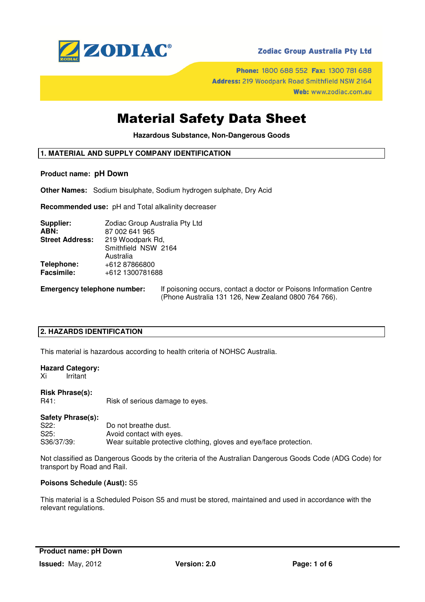

# **Zodiac Group Australia Pty Ltd**

Phone: 1800 688 552 Fax: 1300 781 688 Address: 219 Woodpark Road Smithfield NSW 2164 Web: www.zodiac.com.au

# Material Safety Data Sheet

**Hazardous Substance, Non-Dangerous Goods** 

# **1. MATERIAL AND SUPPLY COMPANY IDENTIFICATION**

#### **Product name: pH Down**

**Other Names:** Sodium bisulphate, Sodium hydrogen sulphate, Dry Acid

**Recommended use:** pH and Total alkalinity decreaser

| Supplier:              | Zodiac Group Australia Pty Ltd |  |
|------------------------|--------------------------------|--|
| ABN:                   | 87 002 641 965                 |  |
| <b>Street Address:</b> | 219 Woodpark Rd,               |  |
|                        | Smithfield NSW 2164            |  |
|                        | Australia                      |  |
| Telephone:             | +612 87866800                  |  |
| <b>Facsimile:</b>      | +612 1300781688                |  |
|                        |                                |  |

**Emergency telephone number:** If poisoning occurs, contact a doctor or Poisons Information Centre (Phone Australia 131 126, New Zealand 0800 764 766).

# **2. HAZARDS IDENTIFICATION**

This material is hazardous according to health criteria of NOHSC Australia.

### **Hazard Category:**

Xi Irritant

#### **Risk Phrase(s):**

R41: Risk of serious damage to eyes.

#### **Safety Phrase(s):**

| S <sub>22</sub> : | Do not breathe dust.                                               |
|-------------------|--------------------------------------------------------------------|
| S25:              | Avoid contact with eyes.                                           |
| S36/37/39:        | Wear suitable protective clothing, gloves and eye/face protection. |

Not classified as Dangerous Goods by the criteria of the Australian Dangerous Goods Code (ADG Code) for transport by Road and Rail.

### **Poisons Schedule (Aust):** S5

This material is a Scheduled Poison S5 and must be stored, maintained and used in accordance with the relevant regulations.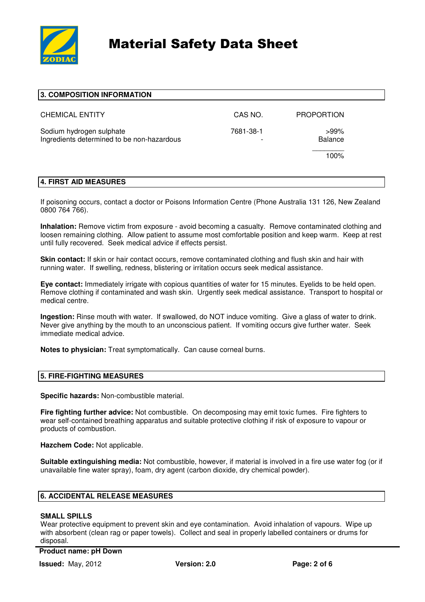

| 3. COMPOSITION INFORMATION                                             |                             |                           |  |
|------------------------------------------------------------------------|-----------------------------|---------------------------|--|
| <b>CHEMICAL ENTITY</b>                                                 | CAS NO.                     | <b>PROPORTION</b>         |  |
| Sodium hydrogen sulphate<br>Ingredients determined to be non-hazardous | 7681-38-1<br>$\overline{a}$ | $>99\%$<br><b>Balance</b> |  |
|                                                                        |                             | 100%                      |  |
|                                                                        |                             |                           |  |

### **4. FIRST AID MEASURES**

If poisoning occurs, contact a doctor or Poisons Information Centre (Phone Australia 131 126, New Zealand 0800 764 766).

**Inhalation:** Remove victim from exposure - avoid becoming a casualty. Remove contaminated clothing and loosen remaining clothing. Allow patient to assume most comfortable position and keep warm. Keep at rest until fully recovered. Seek medical advice if effects persist.

**Skin contact:** If skin or hair contact occurs, remove contaminated clothing and flush skin and hair with running water. If swelling, redness, blistering or irritation occurs seek medical assistance.

**Eye contact:** Immediately irrigate with copious quantities of water for 15 minutes. Eyelids to be held open. Remove clothing if contaminated and wash skin. Urgently seek medical assistance. Transport to hospital or medical centre.

**Ingestion:** Rinse mouth with water. If swallowed, do NOT induce vomiting. Give a glass of water to drink. Never give anything by the mouth to an unconscious patient. If vomiting occurs give further water. Seek immediate medical advice.

**Notes to physician:** Treat symptomatically. Can cause corneal burns.

#### **5. FIRE-FIGHTING MEASURES**

**Specific hazards:** Non-combustible material.

**Fire fighting further advice:** Not combustible. On decomposing may emit toxic fumes. Fire fighters to wear self-contained breathing apparatus and suitable protective clothing if risk of exposure to vapour or products of combustion.

**Hazchem Code:** Not applicable.

**Suitable extinguishing media:** Not combustible, however, if material is involved in a fire use water fog (or if unavailable fine water spray), foam, dry agent (carbon dioxide, dry chemical powder).

### **6. ACCIDENTAL RELEASE MEASURES**

#### **SMALL SPILLS**

Wear protective equipment to prevent skin and eye contamination. Avoid inhalation of vapours. Wipe up with absorbent (clean rag or paper towels). Collect and seal in properly labelled containers or drums for disposal.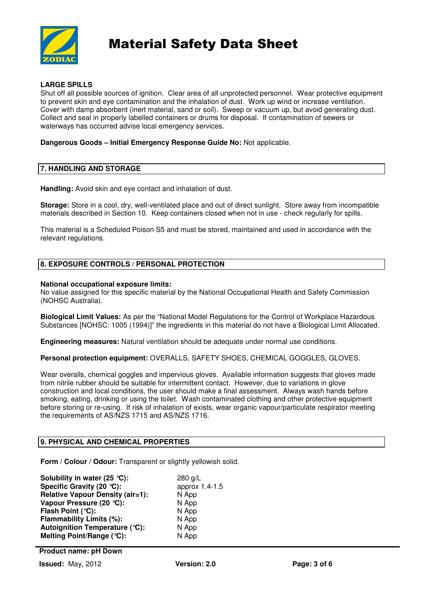

# **LARGE SPILLS**

Shut off all possible sources of ignition. Clear area of all unprotected personnel. Wear protective equipment to prevent skin and eye contamination and the inhalation of dust. Work up wind or increase ventilation. Cover with damp absorbent (inert material, sand or soil). Sweep or vacuum up, but avoid generating dust. Collect and seal in properly labelled containers or drums for disposal. If contamination of sewers or waterways has occurred advise local emergency services.

## **Dangerous Goods – Initial Emergency Response Guide No:** Not applicable.

## **7. HANDLING AND STORAGE**

**Handling:** Avoid skin and eye contact and inhalation of dust.

**Storage:** Store in a cool, dry, well-ventilated place and out of direct sunlight. Store away from incompatible materials described in Section 10. Keep containers closed when not in use - check regularly for spills.

This material is a Scheduled Poison S5 and must be stored, maintained and used in accordance with the relevant regulations.

# **8. EXPOSURE CONTROLS / PERSONAL PROTECTION**

#### **National occupational exposure limits:**

No value assigned for this specific material by the National Occupational Health and Safety Commission (NOHSC Australia).

**Biological Limit Values:** As per the "National Model Regulations for the Control of Workplace Hazardous Substances [NOHSC: 1005 (1994)]" the ingredients in this material do not have a Biological Limit Allocated.

**Engineering measures:** Natural ventilation should be adequate under normal use conditions.

**Personal protection equipment:** OVERALLS, SAFETY SHOES, CHEMICAL GOGGLES, GLOVES.

Wear overalls, chemical goggles and impervious gloves. Available information suggests that gloves made from nitrile rubber should be suitable for intermittent contact. However, due to variations in glove construction and local conditions, the user should make a final assessment. Always wash hands before smoking, eating, drinking or using the toilet. Wash contaminated clothing and other protective equipment before storing or re-using. If risk of inhalation of exists, wear organic vapour/particulate respirator meeting the requirements of AS/NZS 1715 and AS/NZS 1716.

### **9. PHYSICAL AND CHEMICAL PROPERTIES**

**Form / Colour / Odour:** Transparent or slightly yellowish solid.

| Solubility in water (25 ℃):<br>Specific Gravity (20 °C): | 280 g/L<br>approx 1.4-1.5 |
|----------------------------------------------------------|---------------------------|
| Relative Vapour Density (air=1):                         | N App                     |
| Vapour Pressure (20 °C):                                 | N App                     |
| Flash Point (°C):                                        | N App                     |
| Flammability Limits (%):                                 | N App                     |
| Autoignition Temperature (°C):                           | N App                     |
| Melting Point/Range (°C):                                | N App                     |
|                                                          |                           |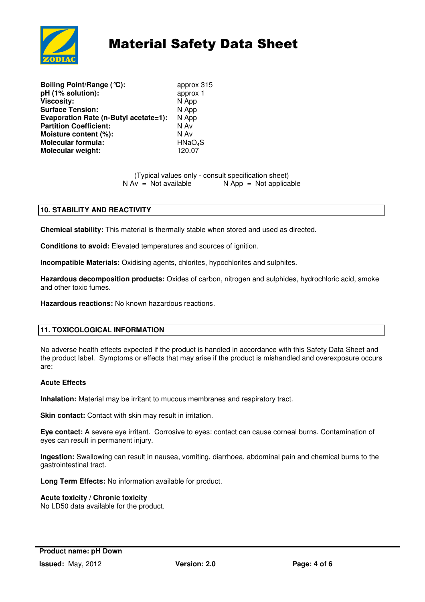

**Boiling Point/Range (°C):** approx 315<br> **pH (1% solution):** approx 1 **pH** (1% solution): **Viscosity:** N App<br> **Surface Tension:** N App **Surface Tension: Evaporation Rate (n-Butyl acetate=1):** N App **Partition Coefficient:** N Av **Moisture content (%):** N Av **Molecular formula:** HNaO<sub>4</sub>S<br> **Molecular weight:** 120.07 **Molecular weight:** 

(Typical values only - consult specification sheet)<br>N Av = Not available  $\begin{bmatrix} N & A & N \end{bmatrix}$  N App = Not applica  $N$  App = Not applicable

# **10. STABILITY AND REACTIVITY**

**Chemical stability:** This material is thermally stable when stored and used as directed.

**Conditions to avoid:** Elevated temperatures and sources of ignition.

**Incompatible Materials:** Oxidising agents, chlorites, hypochlorites and sulphites.

**Hazardous decomposition products:** Oxides of carbon, nitrogen and sulphides, hydrochloric acid, smoke and other toxic fumes.

**Hazardous reactions:** No known hazardous reactions.

# **11. TOXICOLOGICAL INFORMATION**

No adverse health effects expected if the product is handled in accordance with this Safety Data Sheet and the product label. Symptoms or effects that may arise if the product is mishandled and overexposure occurs are:

# **Acute Effects**

**Inhalation:** Material may be irritant to mucous membranes and respiratory tract.

**Skin contact:** Contact with skin may result in irritation.

**Eye contact:** A severe eye irritant. Corrosive to eyes: contact can cause corneal burns. Contamination of eyes can result in permanent injury.

**Ingestion:** Swallowing can result in nausea, vomiting, diarrhoea, abdominal pain and chemical burns to the gastrointestinal tract.

**Long Term Effects:** No information available for product.

# **Acute toxicity / Chronic toxicity**

No LD50 data available for the product.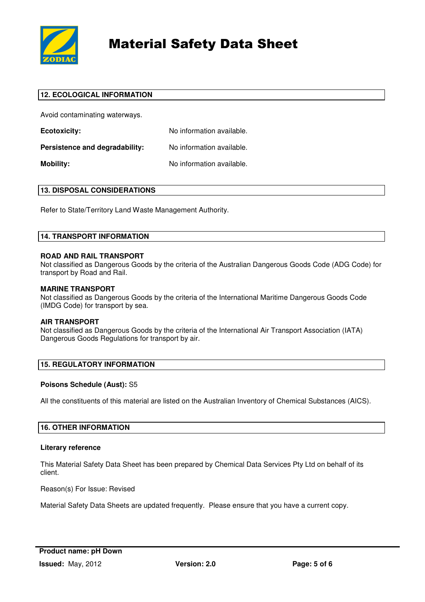

| 112. ECOLOGICAL INFORMATION    |                           |
|--------------------------------|---------------------------|
| Avoid contaminating waterways. |                           |
| <b>Ecotoxicity:</b>            | No information available. |
| Persistence and degradability: | No information available. |
| <b>Mobility:</b>               | No information available. |

# **13. DISPOSAL CONSIDERATIONS**

**12. ECOLOGICAL INFORMATION** 

Refer to State/Territory Land Waste Management Authority.

### **14. TRANSPORT INFORMATION**

#### **ROAD AND RAIL TRANSPORT**

Not classified as Dangerous Goods by the criteria of the Australian Dangerous Goods Code (ADG Code) for transport by Road and Rail.

#### **MARINE TRANSPORT**

Not classified as Dangerous Goods by the criteria of the International Maritime Dangerous Goods Code (IMDG Code) for transport by sea.

#### **AIR TRANSPORT**

Not classified as Dangerous Goods by the criteria of the International Air Transport Association (IATA) Dangerous Goods Regulations for transport by air.

## **15. REGULATORY INFORMATION**

#### **Poisons Schedule (Aust):** S5

All the constituents of this material are listed on the Australian Inventory of Chemical Substances (AICS).

# **16. OTHER INFORMATION**

#### **Literary reference**

This Material Safety Data Sheet has been prepared by Chemical Data Services Pty Ltd on behalf of its client.

Reason(s) For Issue: Revised

Material Safety Data Sheets are updated frequently. Please ensure that you have a current copy.